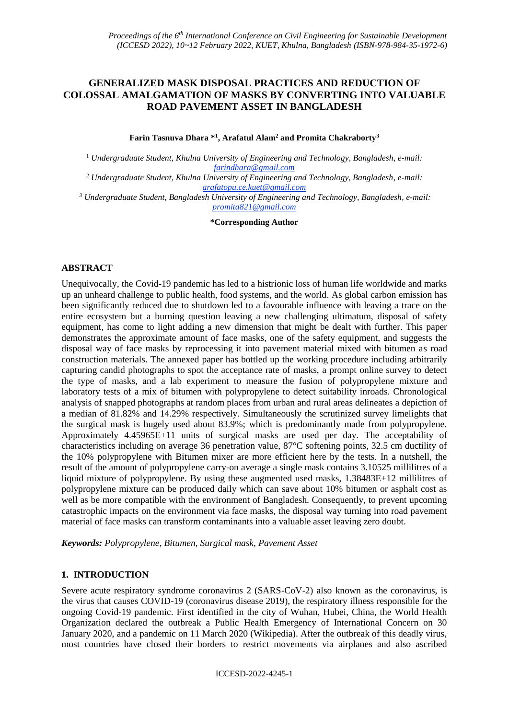# **GENERALIZED MASK DISPOSAL PRACTICES AND REDUCTION OF COLOSSAL AMALGAMATION OF MASKS BY CONVERTING INTO VALUABLE ROAD PAVEMENT ASSET IN BANGLADESH**

**Farin Tasnuva Dhara \*<sup>1</sup> , Arafatul Alam<sup>2</sup> and Promita Chakraborty<sup>3</sup>**

<sup>1</sup> *Undergraduate Student, Khulna University of Engineering and Technology, Bangladesh, e-mail: farindhara@gmail.com*

*<sup>2</sup> Undergraduate Student, Khulna University of Engineering and Technology, Bangladesh, e-mail: arafatopu.ce.kuet@gmail.com*

*<sup>3</sup> Undergraduate Student, Bangladesh University of Engineering and Technology, Bangladesh, e-mail: promita821@gmail.com*

**\*Corresponding Author**

### **ABSTRACT**

Unequivocally, the Covid-19 pandemic has led to a histrionic loss of human life worldwide and marks up an unheard challenge to public health, food systems, and the world. As global carbon emission has been significantly reduced due to shutdown led to a favourable influence with leaving a trace on the entire ecosystem but a burning question leaving a new challenging ultimatum, disposal of safety equipment, has come to light adding a new dimension that might be dealt with further. This paper demonstrates the approximate amount of face masks, one of the safety equipment, and suggests the disposal way of face masks by reprocessing it into pavement material mixed with bitumen as road construction materials. The annexed paper has bottled up the working procedure including arbitrarily capturing candid photographs to spot the acceptance rate of masks, a prompt online survey to detect the type of masks, and a lab experiment to measure the fusion of polypropylene mixture and laboratory tests of a mix of bitumen with polypropylene to detect suitability inroads. Chronological analysis of snapped photographs at random places from urban and rural areas delineates a depiction of a median of 81.82% and 14.29% respectively. Simultaneously the scrutinized survey limelights that the surgical mask is hugely used about 83.9%; which is predominantly made from polypropylene. Approximately 4.45965E+11 units of surgical masks are used per day. The acceptability of characteristics including on average 36 penetration value, 87°C softening points, 32.5 cm ductility of the 10% polypropylene with Bitumen mixer are more efficient here by the tests. In a nutshell, the result of the amount of polypropylene carry-on average a single mask contains 3.10525 millilitres of a liquid mixture of polypropylene. By using these augmented used masks, 1.38483E+12 millilitres of polypropylene mixture can be produced daily which can save about 10% bitumen or asphalt cost as well as be more compatible with the environment of Bangladesh. Consequently, to prevent upcoming catastrophic impacts on the environment via face masks, the disposal way turning into road pavement material of face masks can transform contaminants into a valuable asset leaving zero doubt.

*Keywords: Polypropylene, Bitumen, Surgical mask, Pavement Asset*

### **1. INTRODUCTION**

Severe acute respiratory syndrome coronavirus 2 (SARS-CoV-2) also known as the coronavirus, is the virus that causes COVID-19 (coronavirus disease 2019), the respiratory illness responsible for the ongoing Covid-19 pandemic. First identified in the city of Wuhan, Hubei, China, the World Health Organization declared the outbreak a Public Health Emergency of International Concern on 30 January 2020, and a pandemic on 11 March 2020 (Wikipedia). After the outbreak of this deadly virus, most countries have closed their borders to restrict movements via airplanes and also ascribed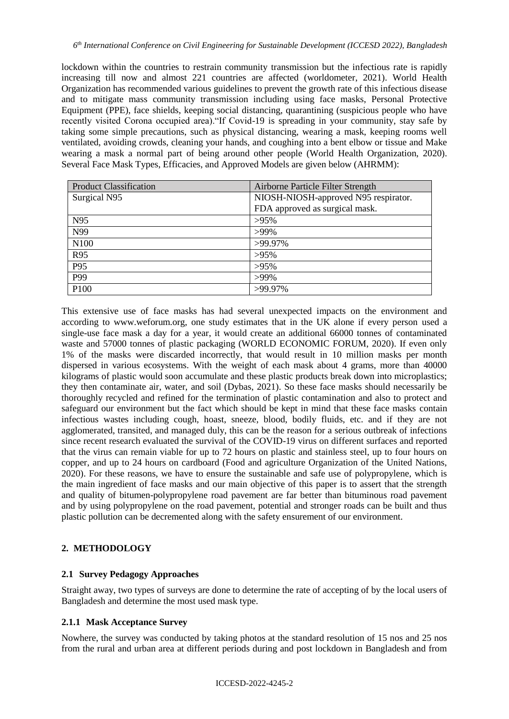lockdown within the countries to restrain community transmission but the infectious rate is rapidly increasing till now and almost 221 countries are affected (worldometer, 2021). World Health Organization has recommended various guidelines to prevent the growth rate of this infectious disease and to mitigate mass community transmission including using face masks, Personal Protective Equipment (PPE), face shields, keeping social distancing, quarantining (suspicious people who have recently visited Corona occupied area)."If Covid-19 is spreading in your community, stay safe by taking some simple precautions, such as physical distancing, wearing a mask, keeping rooms well ventilated, avoiding crowds, cleaning your hands, and coughing into a bent elbow or tissue and Make wearing a mask a normal part of being around other people (World Health Organization, 2020). Several Face Mask Types, Efficacies, and Approved Models are given below (AHRMM):

| <b>Product Classification</b> | Airborne Particle Filter Strength    |
|-------------------------------|--------------------------------------|
| Surgical N95                  | NIOSH-NIOSH-approved N95 respirator. |
|                               | FDA approved as surgical mask.       |
| N <sub>95</sub>               | $>95\%$                              |
| N99                           | $>99\%$                              |
| N100                          | >99.97%                              |
| R95                           | $>95\%$                              |
| P95                           | $>95\%$                              |
| P99                           | $>99\%$                              |
| P <sub>100</sub>              | >99.97%                              |

This extensive use of face masks has had several unexpected impacts on the environment and according to www.weforum.org, one study estimates that in the UK alone if every person used a single-use face mask a day for a year, it would create an additional 66000 tonnes of contaminated waste and 57000 tonnes of plastic packaging (WORLD ECONOMIC FORUM, 2020). If even only 1% of the masks were discarded incorrectly, that would result in 10 million masks per month dispersed in various ecosystems. With the weight of each mask about 4 grams, more than 40000 kilograms of plastic would soon accumulate and these plastic products break down into microplastics; they then contaminate air, water, and soil (Dybas, 2021). So these face masks should necessarily be thoroughly recycled and refined for the termination of plastic contamination and also to protect and safeguard our environment but the fact which should be kept in mind that these face masks contain infectious wastes including cough, hoast, sneeze, blood, bodily fluids, etc. and if they are not agglomerated, transited, and managed duly, this can be the reason for a serious outbreak of infections since recent research evaluated the survival of the COVID-19 virus on different surfaces and reported that the virus can remain viable for up to 72 hours on plastic and stainless steel, up to four hours on copper, and up to 24 hours on cardboard (Food and agriculture Organization of the United Nations, 2020). For these reasons, we have to ensure the sustainable and safe use of polypropylene, which is the main ingredient of face masks and our main objective of this paper is to assert that the strength and quality of bitumen-polypropylene road pavement are far better than bituminous road pavement and by using polypropylene on the road pavement, potential and stronger roads can be built and thus plastic pollution can be decremented along with the safety ensurement of our environment.

## **2. METHODOLOGY**

#### **2.1 Survey Pedagogy Approaches**

Straight away, two types of surveys are done to determine the rate of accepting of by the local users of Bangladesh and determine the most used mask type.

## **2.1.1 Mask Acceptance Survey**

Nowhere, the survey was conducted by taking photos at the standard resolution of 15 nos and 25 nos from the rural and urban area at different periods during and post lockdown in Bangladesh and from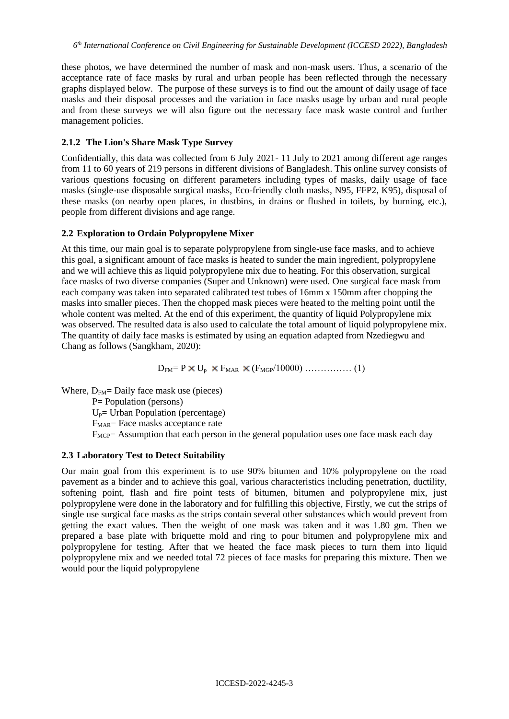these photos, we have determined the number of mask and non-mask users. Thus, a scenario of the acceptance rate of face masks by rural and urban people has been reflected through the necessary graphs displayed below. The purpose of these surveys is to find out the amount of daily usage of face masks and their disposal processes and the variation in face masks usage by urban and rural people and from these surveys we will also figure out the necessary face mask waste control and further management policies.

### **2.1.2 The Lion's Share Mask Type Survey**

Confidentially, this data was collected from 6 July 2021- 11 July to 2021 among different age ranges from 11 to 60 years of 219 persons in different divisions of Bangladesh. This online survey consists of various questions focusing on different parameters including types of masks, daily usage of face masks (single-use disposable surgical masks, Eco-friendly cloth masks, N95, FFP2, K95), disposal of these masks (on nearby open places, in dustbins, in drains or flushed in toilets, by burning, etc.), people from different divisions and age range.

## **2.2 Exploration to Ordain Polypropylene Mixer**

At this time, our main goal is to separate polypropylene from single-use face masks, and to achieve this goal, a significant amount of face masks is heated to sunder the main ingredient, polypropylene and we will achieve this as liquid polypropylene mix due to heating. For this observation, surgical face masks of two diverse companies (Super and Unknown) were used. One surgical face mask from each company was taken into separated calibrated test tubes of 16mm x 150mm after chopping the masks into smaller pieces. Then the chopped mask pieces were heated to the melting point until the whole content was melted. At the end of this experiment, the quantity of liquid Polypropylene mix was observed. The resulted data is also used to calculate the total amount of liquid polypropylene mix. The quantity of daily face masks is estimated by using an equation adapted from Nzediegwu and Chang as follows (Sangkham, 2020):

 $D_{FM} = P \times U_p \times F_{MAR} \times (F_{MGP}/10000) \dots$  (1)

Where,  $D_{FM}$ = Daily face mask use (pieces) P= Population (persons)  $U_p$ = Urban Population (percentage) F<sub>MAR</sub>= Face masks acceptance rate  $F_{MGP}=$  Assumption that each person in the general population uses one face mask each day

#### **2.3 Laboratory Test to Detect Suitability**

Our main goal from this experiment is to use 90% bitumen and 10% polypropylene on the road pavement as a binder and to achieve this goal, various characteristics including penetration, ductility, softening point, flash and fire point tests of bitumen, bitumen and polypropylene mix, just polypropylene were done in the laboratory and for fulfilling this objective, Firstly, we cut the strips of single use surgical face masks as the strips contain several other substances which would prevent from getting the exact values. Then the weight of one mask was taken and it was 1.80 gm. Then we prepared a base plate with briquette mold and ring to pour bitumen and polypropylene mix and polypropylene for testing. After that we heated the face mask pieces to turn them into liquid polypropylene mix and we needed total 72 pieces of face masks for preparing this mixture. Then we would pour the liquid polypropylene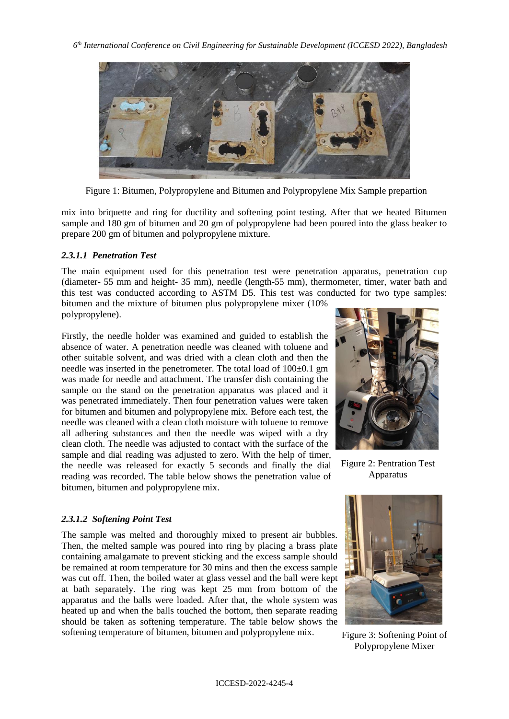

Figure 1: Bitumen, Polypropylene and Bitumen and Polypropylene Mix Sample prepartion

mix into briquette and ring for ductility and softening point testing. After that we heated Bitumen sample and 180 gm of bitumen and 20 gm of polypropylene had been poured into the glass beaker to prepare 200 gm of bitumen and polypropylene mixture.

### *2.3.1.1 Penetration Test*

The main equipment used for this penetration test were penetration apparatus, penetration cup (diameter- 55 mm and height- 35 mm), needle (length-55 mm), thermometer, timer, water bath and this test was conducted according to ASTM D5. This test was conducted for two type samples:

bitumen and the mixture of bitumen plus polypropylene mixer (10% polypropylene).

Firstly, the needle holder was examined and guided to establish the absence of water. A penetration needle was cleaned with toluene and other suitable solvent, and was dried with a clean cloth and then the needle was inserted in the penetrometer. The total load of  $100\pm0.1$  gm was made for needle and attachment. The transfer dish containing the sample on the stand on the penetration apparatus was placed and it was penetrated immediately. Then four penetration values were taken for bitumen and bitumen and polypropylene mix. Before each test, the needle was cleaned with a clean cloth moisture with toluene to remove all adhering substances and then the needle was wiped with a dry clean cloth. The needle was adjusted to contact with the surface of the sample and dial reading was adjusted to zero. With the help of timer, the needle was released for exactly 5 seconds and finally the dial reading was recorded. The table below shows the penetration value of bitumen, bitumen and polypropylene mix.



Figure 2: Pentration Test Apparatus

#### *2.3.1.2 Softening Point Test*

The sample was melted and thoroughly mixed to present air bubbles. Then, the melted sample was poured into ring by placing a brass plate containing amalgamate to prevent sticking and the excess sample should be remained at room temperature for 30 mins and then the excess sample was cut off. Then, the boiled water at glass vessel and the ball were kept at bath separately. The ring was kept 25 mm from bottom of the apparatus and the balls were loaded. After that, the whole system was heated up and when the balls touched the bottom, then separate reading should be taken as softening temperature. The table below shows the softening temperature of bitumen, bitumen and polypropylene mix.



Figure 3: Softening Point of Polypropylene Mixer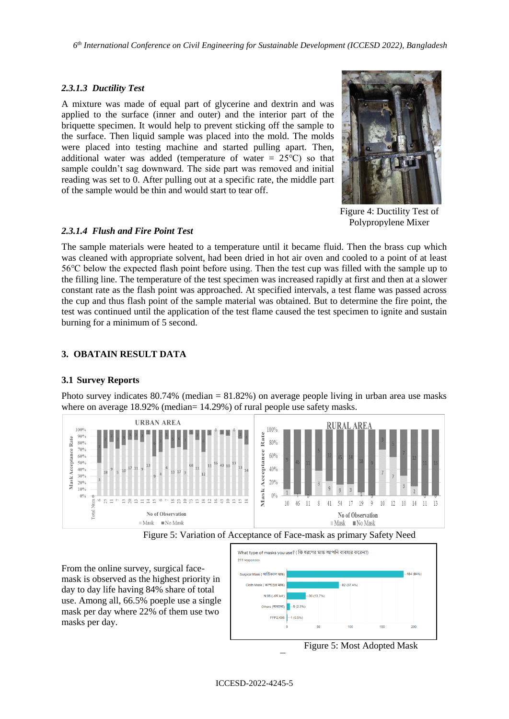*6 th International Conference on Civil Engineering for Sustainable Development (ICCESD 2022), Bangladesh*

### *2.3.1.3 Ductility Test*

A mixture was made of equal part of glycerine and dextrin and was applied to the surface (inner and outer) and the interior part of the briquette specimen. It would help to prevent sticking off the sample to the surface. Then liquid sample was placed into the mold. The molds were placed into testing machine and started pulling apart. Then, additional water was added (temperature of water =  $25^{\circ}$ C) so that sample couldn't sag downward. The side part was removed and initial reading was set to 0. After pulling out at a specific rate, the middle part of the sample would be thin and would start to tear off.



Figure 4: Ductility Test of Polypropylene Mixer

### *2.3.1.4 Flush and Fire Point Test*

The sample materials were heated to a temperature until it became fluid. Then the brass cup which was cleaned with appropriate solvent, had been dried in hot air oven and cooled to a point of at least 56℃ below the expected flash point before using. Then the test cup was filled with the sample up to the filling line. The temperature of the test specimen was increased rapidly at first and then at a slower constant rate as the flash point was approached. At specified intervals, a test flame was passed across the cup and thus flash point of the sample material was obtained. But to determine the fire point, the test was continued until the application of the test flame caused the test specimen to ignite and sustain burning for a minimum of 5 second.

## **3. OBATAIN RESULT DATA**

## **3.1 Survey Reports**

Photo survey indicates 80.74% (median = 81.82%) on average people living in urban area use masks where on average 18.92% (median= 14.29%) of rural people use safety masks.



Figure 5: Variation of Acceptance of Face-mask as primary Safety Need

Type

From the online survey, surgical facemask is observed as the highest priority in day to day life having 84% share of total use. Among all, 66.5% poeple use a single mask per day where 22% of them use two masks per day.



Figure 5: Most Adopted Mask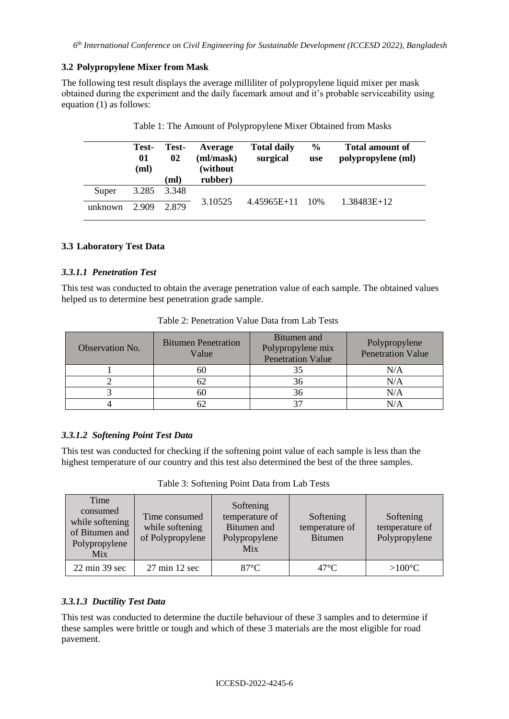### **3.2 Polypropylene Mixer from Mask**

The following test result displays the average milliliter of polypropylene liquid mixer per mask obtained during the experiment and the daily facemark amout and it's probable serviceability using equation (1) as follows:

|         | Test-<br>01<br>(ml) | Test-<br>02<br>(ml) | Average<br>(ml/mask)<br>(without<br>rubber) | <b>Total daily</b><br>surgical | $\frac{6}{9}$<br>use | <b>Total amount of</b><br>polypropylene (ml) |
|---------|---------------------|---------------------|---------------------------------------------|--------------------------------|----------------------|----------------------------------------------|
| Super   | 3.285               | 3.348               |                                             |                                |                      |                                              |
| unknown | 2.909               | 2.879               | 3.10525                                     | $4.45965E+11$ 10%              |                      | $1.38483E+12$                                |

## **3.3 Laboratory Test Data**

### *3.3.1.1 Penetration Test*

This test was conducted to obtain the average penetration value of each sample. The obtained values helped us to determine best penetration grade sample.

| Observation No. | <b>Bitumen Penetration</b><br>Value | Bitumen and<br>Polypropylene mix<br><b>Penetration Value</b> | Polypropylene<br><b>Penetration Value</b> |
|-----------------|-------------------------------------|--------------------------------------------------------------|-------------------------------------------|
|                 | bU.                                 | 35                                                           | N/A                                       |
|                 |                                     | 36                                                           | N/A                                       |
|                 | 60                                  | 36                                                           | N/A                                       |
|                 |                                     |                                                              |                                           |

Table 2: Penetration Value Data from Lab Tests

## *3.3.1.2 Softening Point Test Data*

This test was conducted for checking if the softening point value of each sample is less than the highest temperature of our country and this test also determined the best of the three samples.

Table 3: Softening Point Data from Lab Tests

| Time<br>consumed<br>while softening<br>of Bitumen and<br>Polypropylene<br>Mix | Time consumed<br>while softening<br>of Polypropylene | Softening<br>temperature of<br>Bitumen and<br>Polypropylene<br>Mix | Softening<br>temperature of<br><b>Bitumen</b> | Softening<br>temperature of<br>Polypropylene |
|-------------------------------------------------------------------------------|------------------------------------------------------|--------------------------------------------------------------------|-----------------------------------------------|----------------------------------------------|
| $22 \text{ min } 39 \text{ sec}$                                              | $27 \text{ min } 12 \text{ sec}$                     | $87^{\circ}$ C                                                     | $47^{\circ}$ C                                | $>100^{\circ}C$                              |

## *3.3.1.3 Ductility Test Data*

This test was conducted to determine the ductile behaviour of these 3 samples and to determine if these samples were brittle or tough and which of these 3 materials are the most eligible for road pavement.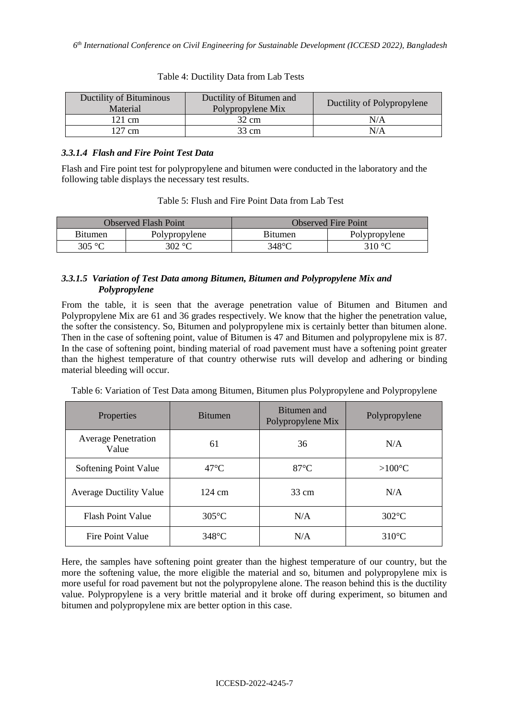| Ductility of Bitumen and<br>Ductility of Bituminous<br>Polypropylene Mix<br>Material |       | Ductility of Polypropylene |
|--------------------------------------------------------------------------------------|-------|----------------------------|
| 121 cm                                                                               | 32 cm | N/A                        |
| 127 cm                                                                               | 33 cm | N/A                        |

#### Table 4: Ductility Data from Lab Tests

## *3.3.1.4 Flash and Fire Point Test Data*

Flash and Fire point test for polypropylene and bitumen were conducted in the laboratory and the following table displays the necessary test results.

|  |  |  |  |  | Table 5: Flush and Fire Point Data from Lab Test |
|--|--|--|--|--|--------------------------------------------------|
|--|--|--|--|--|--------------------------------------------------|

|         | Observed Flash Point | Observed Fire Point |               |  |
|---------|----------------------|---------------------|---------------|--|
| Bitumen | Polypropylene        | Bitumen             | Polypropylene |  |
| 305 °C  | 302 °C               | $348^{\circ}$ C     | 310 °C        |  |

## *3.3.1.5 Variation of Test Data among Bitumen, Bitumen and Polypropylene Mix and Polypropylene*

From the table, it is seen that the average penetration value of Bitumen and Bitumen and Polypropylene Mix are 61 and 36 grades respectively. We know that the higher the penetration value, the softer the consistency. So, Bitumen and polypropylene mix is certainly better than bitumen alone. Then in the case of softening point, value of Bitumen is 47 and Bitumen and polypropylene mix is 87. In the case of softening point, binding material of road pavement must have a softening point greater than the highest temperature of that country otherwise ruts will develop and adhering or binding material bleeding will occur.

|  |  |  | Table 6: Variation of Test Data among Bitumen, Bitumen plus Polypropylene and Polypropylene |
|--|--|--|---------------------------------------------------------------------------------------------|
|  |  |  |                                                                                             |

| Properties                          | <b>Bitumen</b>   | Bitumen and<br>Polypropylene Mix | Polypropylene    |
|-------------------------------------|------------------|----------------------------------|------------------|
| <b>Average Penetration</b><br>Value | 61               | 36                               | N/A              |
| Softening Point Value               | $47^{\circ}$ C   | $87^{\circ}$ C                   | $>100^{\circ}$ C |
| <b>Average Ductility Value</b>      | $124 \text{ cm}$ | $33 \text{ cm}$                  | N/A              |
| <b>Flash Point Value</b>            | $305^{\circ}$ C  | N/A                              | $302^{\circ}$ C  |
| Fire Point Value                    | $348^{\circ}$ C  | N/A                              | $310^{\circ}$ C  |

Here, the samples have softening point greater than the highest temperature of our country, but the more the softening value, the more eligible the material and so, bitumen and polypropylene mix is more useful for road pavement but not the polypropylene alone. The reason behind this is the ductility value. Polypropylene is a very brittle material and it broke off during experiment, so bitumen and bitumen and polypropylene mix are better option in this case.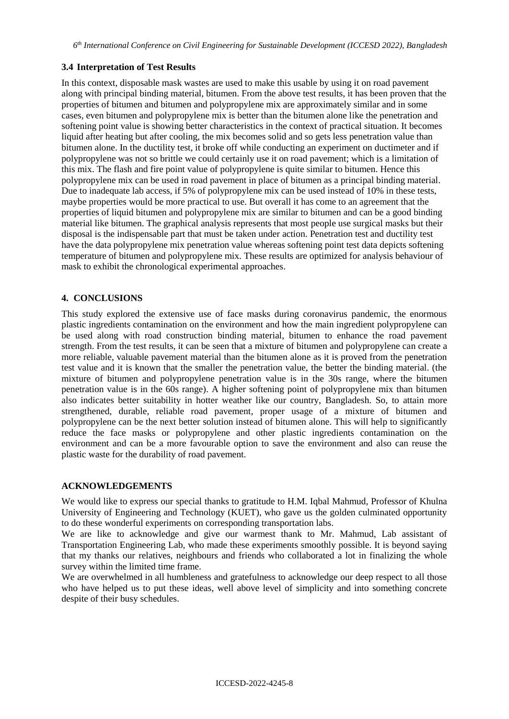#### **3.4 Interpretation of Test Results**

In this context, disposable mask wastes are used to make this usable by using it on road pavement along with principal binding material, bitumen. From the above test results, it has been proven that the properties of bitumen and bitumen and polypropylene mix are approximately similar and in some cases, even bitumen and polypropylene mix is better than the bitumen alone like the penetration and softening point value is showing better characteristics in the context of practical situation. It becomes liquid after heating but after cooling, the mix becomes solid and so gets less penetration value than bitumen alone. In the ductility test, it broke off while conducting an experiment on ductimeter and if polypropylene was not so brittle we could certainly use it on road pavement; which is a limitation of this mix. The flash and fire point value of polypropylene is quite similar to bitumen. Hence this polypropylene mix can be used in road pavement in place of bitumen as a principal binding material. Due to inadequate lab access, if 5% of polypropylene mix can be used instead of 10% in these tests, maybe properties would be more practical to use. But overall it has come to an agreement that the properties of liquid bitumen and polypropylene mix are similar to bitumen and can be a good binding material like bitumen. The graphical analysis represents that most people use surgical masks but their disposal is the indispensable part that must be taken under action. Penetration test and ductility test have the data polypropylene mix penetration value whereas softening point test data depicts softening temperature of bitumen and polypropylene mix. These results are optimized for analysis behaviour of mask to exhibit the chronological experimental approaches.

### **4. CONCLUSIONS**

This study explored the extensive use of face masks during coronavirus pandemic, the enormous plastic ingredients contamination on the environment and how the main ingredient polypropylene can be used along with road construction binding material, bitumen to enhance the road pavement strength. From the test results, it can be seen that a mixture of bitumen and polypropylene can create a more reliable, valuable pavement material than the bitumen alone as it is proved from the penetration test value and it is known that the smaller the penetration value, the better the binding material. (the mixture of bitumen and polypropylene penetration value is in the 30s range, where the bitumen penetration value is in the 60s range). A higher softening point of polypropylene mix than bitumen also indicates better suitability in hotter weather like our country, Bangladesh. So, to attain more strengthened, durable, reliable road pavement, proper usage of a mixture of bitumen and polypropylene can be the next better solution instead of bitumen alone. This will help to significantly reduce the face masks or polypropylene and other plastic ingredients contamination on the environment and can be a more favourable option to save the environment and also can reuse the plastic waste for the durability of road pavement.

#### **ACKNOWLEDGEMENTS**

We would like to express our special thanks to gratitude to H.M. Iqbal Mahmud, Professor of Khulna University of Engineering and Technology (KUET), who gave us the golden culminated opportunity to do these wonderful experiments on corresponding transportation labs.

We are like to acknowledge and give our warmest thank to Mr. Mahmud, Lab assistant of Transportation Engineering Lab, who made these experiments smoothly possible. It is beyond saying that my thanks our relatives, neighbours and friends who collaborated a lot in finalizing the whole survey within the limited time frame.

We are overwhelmed in all humbleness and gratefulness to acknowledge our deep respect to all those who have helped us to put these ideas, well above level of simplicity and into something concrete despite of their busy schedules.